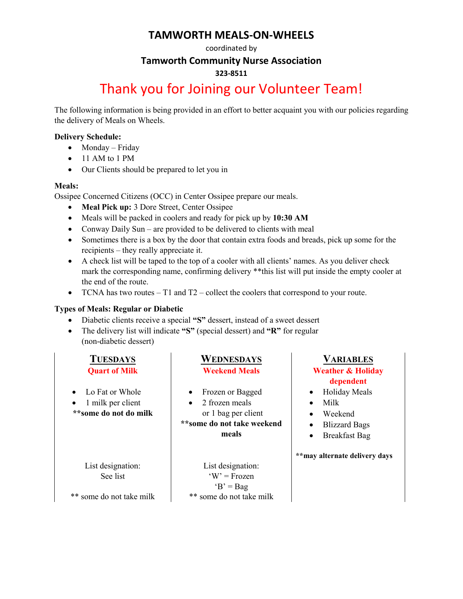### **TAMWORTH MEALS-ON-WHEELS**

#### coordinated by

#### **Tamworth Community Nurse Association**

#### **323-8511**

## Thank you for Joining our Volunteer Team!

The following information is being provided in an effort to better acquaint you with our policies regarding the delivery of Meals on Wheels.

#### **Delivery Schedule:**

- Monday Friday
- 11 AM to 1 PM
- Our Clients should be prepared to let you in

#### **Meals:**

Ossipee Concerned Citizens (OCC) in Center Ossipee prepare our meals.

- **Meal Pick up:** 3 Dore Street, Center Ossipee
- Meals will be packed in coolers and ready for pick up by **10:30 AM**
- Conway Daily Sun are provided to be delivered to clients with meal
- Sometimes there is a box by the door that contain extra foods and breads, pick up some for the recipients – they really appreciate it.
- A check list will be taped to the top of a cooler with all clients' names. As you deliver check mark the corresponding name, confirming delivery \*\*this list will put inside the empty cooler at the end of the route.
- TCNA has two routes  $-$  T1 and T2 collect the coolers that correspond to your route.

#### **Types of Meals: Regular or Diabetic**

- Diabetic clients receive a special **"S"** dessert, instead of a sweet dessert
- The delivery list will indicate **"S"** (special dessert) and **"R"** for regular (non-diabetic dessert)

- Lo Fat or Whole
- 1 milk per client **\*\*some do not do milk**

### **TUESDAYS WEDNESDAYS VARIABLES**

- Frozen or Bagged
- 2 frozen meals or 1 bag per client

#### **\*\*some do not take weekend meals**

List designation: See list

List designation:  $W' = Frozen$  $B' = Bag$ some do not take milk  $^{**}$  some do not take milk

#### **Quart of Milk Weekend Meals Weather & Holiday dependent**

- Holiday Meals
- Milk
- Weekend
- Blizzard Bags
- Breakfast Bag

**\*\*may alternate delivery days**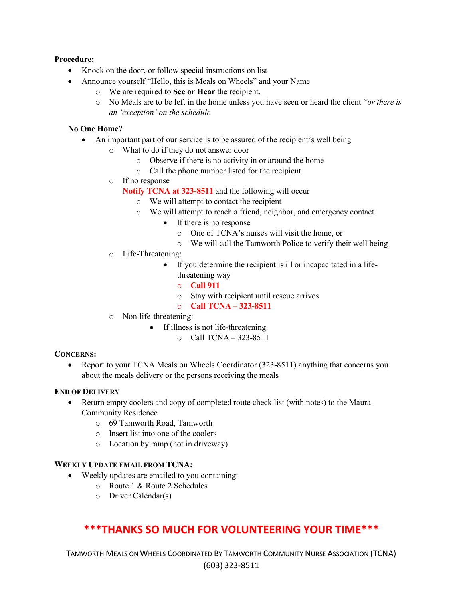#### **Procedure:**

- Knock on the door, or follow special instructions on list
- Announce yourself "Hello, this is Meals on Wheels" and your Name
	- o We are required to **See or Hear** the recipient.
	- o No Meals are to be left in the home unless you have seen or heard the client *\*or there is an 'exception' on the schedule*

#### **No One Home?**

- An important part of our service is to be assured of the recipient's well being
	- o What to do if they do not answer door
		- o Observe if there is no activity in or around the home
		- o Call the phone number listed for the recipient
	- o If no response
		- **Notify TCNA at 323-8511** and the following will occur
			- o We will attempt to contact the recipient
			- o We will attempt to reach a friend, neighbor, and emergency contact
				- If there is no response
					- o One of TCNA's nurses will visit the home, or
					- o We will call the Tamworth Police to verify their well being
	- o Life-Threatening:
		- If you determine the recipient is ill or incapacitated in a lifethreatening way
			- o **Call 911**
			- o Stay with recipient until rescue arrives
			- o **Call TCNA – 323-8511**
	- o Non-life-threatening:
		- If illness is not life-threatening
			- $\circ$  Call TCNA 323-8511

#### **CONCERNS:**

• Report to your TCNA Meals on Wheels Coordinator (323-8511) anything that concerns you about the meals delivery or the persons receiving the meals

#### **END OF DELIVERY**

- Return empty coolers and copy of completed route check list (with notes) to the Maura Community Residence
	- o 69 Tamworth Road, Tamworth
	- o Insert list into one of the coolers
	- o Location by ramp (not in driveway)

#### **WEEKLY UPDATE EMAIL FROM TCNA:**

- Weekly updates are emailed to you containing:
	- o Route 1 & Route 2 Schedules
	- o Driver Calendar(s)

### **\*\*\*THANKS SO MUCH FOR VOLUNTEERING YOUR TIME\*\*\***

TAMWORTH MEALS ON WHEELS COORDINATED BY TAMWORTH COMMUNITY NURSE ASSOCIATION (TCNA) (603) 323-8511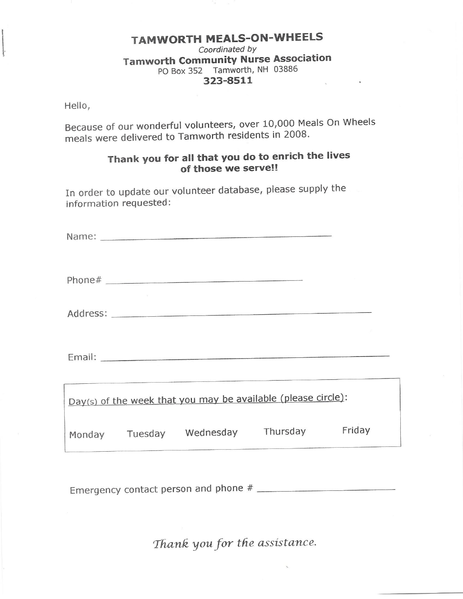#### **TAMWORTH MEALS-ON-WHEELS** Coordinated by **Tamworth Community Nurse Association** PO Box 352 Tamworth, NH 03886 323-8511

Hello,

Because of our wonderful volunteers, over 10,000 Meals On Wheels meals were delivered to Tamworth residents in 2008.

### Thank you for all that you do to enrich the lives of those we serve!!

In order to update our volunteer database, please supply the information requested:

|  | Address: 2008 and 2008 and 2008 and 2008 and 2008 and 2008 and 2008 and 2008 and 2008 and 2008 and 2008 and 20 |        |
|--|----------------------------------------------------------------------------------------------------------------|--------|
|  |                                                                                                                |        |
|  | Day(s) of the week that you may be available (please circle):                                                  |        |
|  | Monday Tuesday Wednesday Thursday                                                                              | Friday |

Thank you for the assistance.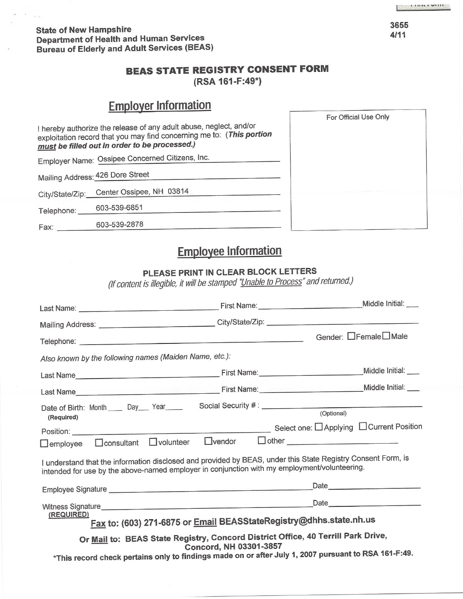**State of New Hampshire Department of Health and Human Services Bureau of Elderly and Adult Services (BEAS)** 

### **BEAS STATE REGISTRY CONSENT FORM**

(RSA 161-F:49\*)

## **Employer Information**

|                 |                                                                                                                                                                                                     | For Official Use Only |
|-----------------|-----------------------------------------------------------------------------------------------------------------------------------------------------------------------------------------------------|-----------------------|
|                 | I hereby authorize the release of any adult abuse, neglect, and/or<br>exploitation record that you may find concerning me to: (This portion<br><u>must</u> be filled out in order to be processed.) |                       |
|                 | Employer Name: Ossipee Concerned Citizens, Inc.                                                                                                                                                     |                       |
|                 | Mailing Address: 426 Dore Street                                                                                                                                                                    |                       |
| City/State/Zip: | Center Ossipee, NH 03814                                                                                                                                                                            |                       |
| Telephone:      | 603-539-6851                                                                                                                                                                                        |                       |
| Fax:            | 603-539-2878                                                                                                                                                                                        |                       |
|                 |                                                                                                                                                                                                     |                       |

## **Employee Information**

### PLEASE PRINT IN CLEAR BLOCK LETTERS

(If content is illegible, it will be stamped "Unable to Process" and returned.)

| Mailing Address: __________________________________City/State/Zip: _________________________________                                                                                                         |                        |                                           |                      |
|--------------------------------------------------------------------------------------------------------------------------------------------------------------------------------------------------------------|------------------------|-------------------------------------------|----------------------|
|                                                                                                                                                                                                              |                        |                                           | Gender: □Female□Male |
| Also known by the following names (Maiden Name, etc.):                                                                                                                                                       |                        |                                           |                      |
|                                                                                                                                                                                                              |                        |                                           | Middle Initial: ___  |
|                                                                                                                                                                                                              |                        |                                           |                      |
| Date of Birth: Month _____ Day ___ Year<br>(Required)                                                                                                                                                        |                        | (Optional)                                |                      |
|                                                                                                                                                                                                              |                        | Select one: □ Applying □ Current Position |                      |
| $\Box$ consultant $\Box$ volunteer<br>$\Box$ employee                                                                                                                                                        | $L$ vendor             | <b>Other CONSUMPTER</b>                   |                      |
| I understand that the information disclosed and provided by BEAS, under this State Registry Consent Form, is<br>intended for use by the above-named employer in conjunction with my employment/volunteering. |                        |                                           |                      |
|                                                                                                                                                                                                              |                        |                                           | Date 2020            |
|                                                                                                                                                                                                              |                        |                                           |                      |
| (REQUIRED)<br>Fax to: (603) 271-6875 or Email BEASStateRegistry@dhhs.state.nh.us                                                                                                                             |                        |                                           |                      |
| Or Mail to: BEAS State Registry, Concord District Office, 40 Terrill Park Drive,                                                                                                                             | Concord, NH 03301-3857 |                                           |                      |
| *This record check pertains only to findings made on or after July 1, 2007 pursuant to RSA 161-F:49.                                                                                                         |                        |                                           |                      |
|                                                                                                                                                                                                              |                        |                                           |                      |

3655  $4/11$